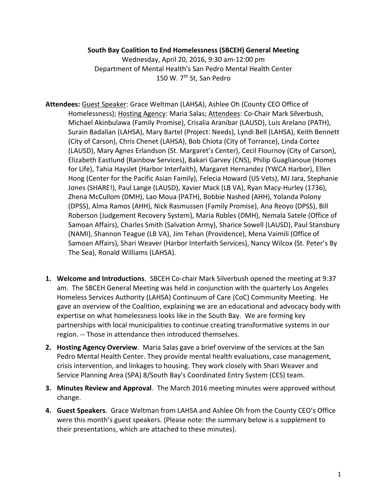#### **South Bay Coalition to End Homelessness (SBCEH) General Meeting**

Wednesday, April 20, 2016, 9:30 am-12:00 pm Department of Mental Health's San Pedro Mental Health Center 150 W. 7<sup>th</sup> St, San Pedro

- **Attendees:** Guest Speaker: Grace Weltman (LAHSA), Ashlee Oh (County CEO Office of Homelessness); Hosting Agency: Maria Salas; Attendees: Co-Chair Mark Silverbush, Michael Akinbulawa (Family Promise), Crisalia Aranibar (LAUSD), Luis Arelano (PATH), Surain Badalian (LAHSA), Mary Bartel (Project: Needs), Lyndi Bell (LAHSA), Keith Bennett (City of Carson), Chris Chenet (LAHSA), Bob Chiota (City of Torrance), Linda Cortez (LAUSD), Mary Agnes Erlandson (St. Margaret's Center), Cecil Flournoy (City of Carson), Elizabeth Eastlund (Rainbow Services), Bakari Garvey (CNS), Philip Guaglianoue (Homes for Life), Tahia Hayslet (Harbor Interfaith), Margaret Hernandez (YWCA Harbor), Ellen Hong (Center for the Pacific Asian Family), Felecia Howard (US Vets), MJ Jara, Stephanie Jones (SHARE!), Paul Lange (LAUSD), Xavier Mack (LB VA), Ryan Macy-Hurley (1736), Zhena McCullom (DMH), Lao Moua (PATH), Bobbie Nashed (AHH), Yolanda Polony (DPSS), Alma Ramos (AHH), Nick Rasmussen (Family Promise), Ana Reoyo (DPSS), Bill Roberson (Judgement Recovery System), Maria Robles (DMH), Nemala Satele (Office of Samoan Affairs), Charles Smith (Salvation Army), Sharice Sowell (LAUSD), Paul Stansbury (NAMI), Shannon Teague (LB VA), Jim Tehan (Providence), Mena Vaimili (Office of Samoan Affairs), Shari Weaver (Harbor Interfaith Services), Nancy Wilcox (St. Peter's By The Sea), Ronald Williams (LAHSA).
- **1. Welcome and Introductions**. SBCEH Co-chair Mark Silverbush opened the meeting at 9:37 am. The SBCEH General Meeting was held in conjunction with the quarterly Los Angeles Homeless Services Authority (LAHSA) Continuum of Care (CoC) Community Meeting. He gave an overview of the Coalition, explaining we are an educational and advocacy body with expertise on what homelessness looks like in the South Bay. We are forming key partnerships with local municipalities to continue creating transformative systems in our region. -- Those in attendance then introduced themselves.
- **2. Hosting Agency Overview**. Maria Salas gave a brief overview of the services at the San Pedro Mental Health Center. They provide mental health evaluations, case management, crisis intervention, and linkages to housing. They work closely with Shari Weaver and Service Planning Area (SPA) 8/South Bay's Coordinated Entry System (CES) team.
- **3. Minutes Review and Approval**. The March 2016 meeting minutes were approved without change.
- **4. Guest Speakers**. Grace Weltman from LAHSA and Ashlee Oh from the County CEO's Office were this month's guest speakers. (Please note: the summary below is a supplement to their presentations, which are attached to these minutes).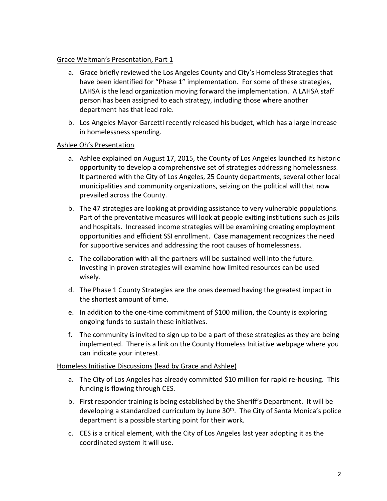## Grace Weltman's Presentation, Part 1

- a. Grace briefly reviewed the Los Angeles County and City's Homeless Strategies that have been identified for "Phase 1" implementation. For some of these strategies, LAHSA is the lead organization moving forward the implementation. A LAHSA staff person has been assigned to each strategy, including those where another department has that lead role.
- b. Los Angeles Mayor Garcetti recently released his budget, which has a large increase in homelessness spending.

## Ashlee Oh's Presentation

- a. Ashlee explained on August 17, 2015, the County of Los Angeles launched its historic opportunity to develop a comprehensive set of strategies addressing homelessness. It partnered with the City of Los Angeles, 25 County departments, several other local municipalities and community organizations, seizing on the political will that now prevailed across the County.
- b. The 47 strategies are looking at providing assistance to very vulnerable populations. Part of the preventative measures will look at people exiting institutions such as jails and hospitals. Increased income strategies will be examining creating employment opportunities and efficient SSI enrollment. Case management recognizes the need for supportive services and addressing the root causes of homelessness.
- c. The collaboration with all the partners will be sustained well into the future. Investing in proven strategies will examine how limited resources can be used wisely.
- d. The Phase 1 County Strategies are the ones deemed having the greatest impact in the shortest amount of time.
- e. In addition to the one-time commitment of \$100 million, the County is exploring ongoing funds to sustain these initiatives.
- f. The community is invited to sign up to be a part of these strategies as they are being implemented. There is a link on the County Homeless Initiative webpage where you can indicate your interest.

#### Homeless Initiative Discussions (lead by Grace and Ashlee)

- a. The City of Los Angeles has already committed \$10 million for rapid re-housing. This funding is flowing through CES.
- b. First responder training is being established by the Sheriff's Department. It will be developing a standardized curriculum by June  $30<sup>th</sup>$ . The City of Santa Monica's police department is a possible starting point for their work.
- c. CES is a critical element, with the City of Los Angeles last year adopting it as the coordinated system it will use.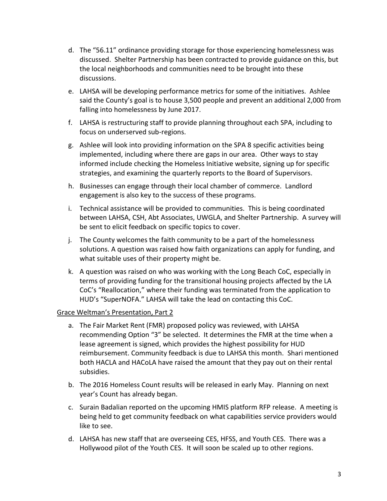- d. The "56.11" ordinance providing storage for those experiencing homelessness was discussed. Shelter Partnership has been contracted to provide guidance on this, but the local neighborhoods and communities need to be brought into these discussions.
- e. LAHSA will be developing performance metrics for some of the initiatives. Ashlee said the County's goal is to house 3,500 people and prevent an additional 2,000 from falling into homelessness by June 2017.
- f. LAHSA is restructuring staff to provide planning throughout each SPA, including to focus on underserved sub-regions.
- g. Ashlee will look into providing information on the SPA 8 specific activities being implemented, including where there are gaps in our area. Other ways to stay informed include checking the Homeless Initiative website, signing up for specific strategies, and examining the quarterly reports to the Board of Supervisors.
- h. Businesses can engage through their local chamber of commerce. Landlord engagement is also key to the success of these programs.
- i. Technical assistance will be provided to communities. This is being coordinated between LAHSA, CSH, Abt Associates, UWGLA, and Shelter Partnership. A survey will be sent to elicit feedback on specific topics to cover.
- j. The County welcomes the faith community to be a part of the homelessness solutions. A question was raised how faith organizations can apply for funding, and what suitable uses of their property might be.
- k. A question was raised on who was working with the Long Beach CoC, especially in terms of providing funding for the transitional housing projects affected by the LA CoC's "Reallocation," where their funding was terminated from the application to HUD's "SuperNOFA." LAHSA will take the lead on contacting this CoC.

# Grace Weltman's Presentation, Part 2

- a. The Fair Market Rent (FMR) proposed policy was reviewed, with LAHSA recommending Option "3" be selected. It determines the FMR at the time when a lease agreement is signed, which provides the highest possibility for HUD reimbursement. Community feedback is due to LAHSA this month. Shari mentioned both HACLA and HACoLA have raised the amount that they pay out on their rental subsidies.
- b. The 2016 Homeless Count results will be released in early May. Planning on next year's Count has already began.
- c. Surain Badalian reported on the upcoming HMIS platform RFP release. A meeting is being held to get community feedback on what capabilities service providers would like to see.
- d. LAHSA has new staff that are overseeing CES, HFSS, and Youth CES. There was a Hollywood pilot of the Youth CES. It will soon be scaled up to other regions.